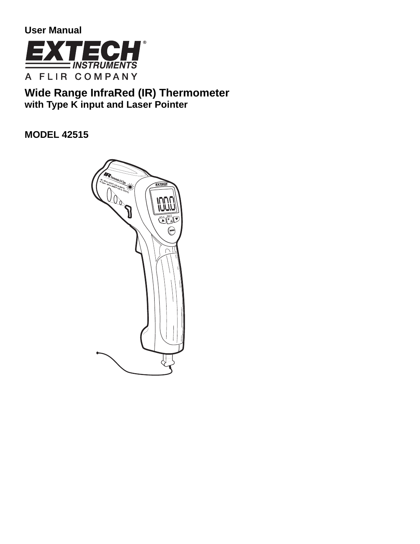**User Manual** 



# **Wide Range InfraRed (IR) Thermometer with Type K input and Laser Pointer**

**MODEL 42515** 

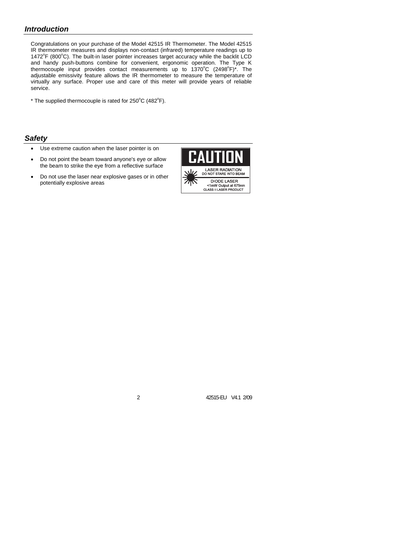## *Introduction*

Congratulations on your purchase of the Model 42515 IR Thermometer. The Model 42515 IR thermometer measures and displays non-contact (infrared) temperature readings up to 1472°F (800°C). The built-in laser pointer increases target accuracy while the backlit LCD and handy push-buttons combine for convenient, ergonomic operation. The Type K thermocouple input provides contact measurements up to 1370°C (2498°F)\*. The adjustable emissivity feature allows the IR thermometer to measure the temperature of virtually any surface. Proper use and care of this meter will provide years of reliable service.

\* The supplied thermocouple is rated for  $250^{\circ}$ C (482 $^{\circ}$ F).

#### *Safety*

- Use extreme caution when the laser pointer is on
- Do not point the beam toward anyone's eye or allow the beam to strike the eye from a reflective surface
- Do not use the laser near explosive gases or in other potentially explosive areas

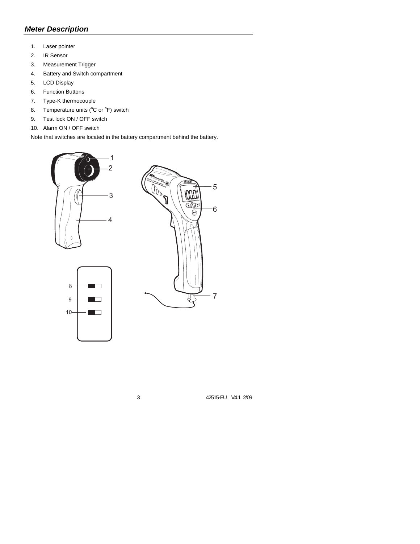## *Meter Description*

- 1. Laser pointer
- 2. IR Sensor
- 3. Measurement Trigger
- 4. Battery and Switch compartment
- 5. LCD Display
- 6. Function Buttons
- 7. Type-K thermocouple
- 8. Temperature units  $(^{\circ}C$  or  $^{\circ}F$ ) switch
- 9. Test lock ON / OFF switch
- 10. Alarm ON / OFF switch

Note that switches are located in the battery compartment behind the battery.





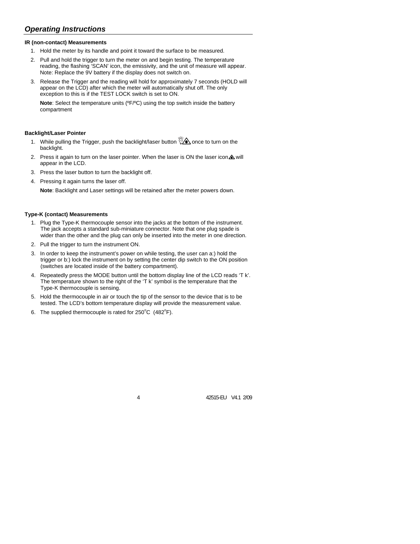## *Operating Instructions*

#### **IR (non-contact) Measurements**

- 1. Hold the meter by its handle and point it toward the surface to be measured.
- 2. Pull and hold the trigger to turn the meter on and begin testing. The temperature reading, the flashing 'SCAN' icon, the emissivity, and the unit of measure will appear. Note: Replace the 9V battery if the display does not switch on.
- 3. Release the Trigger and the reading will hold for approximately 7 seconds (HOLD will appear on the LCD) after which the meter will automatically shut off. The only exception to this is if the TEST LOCK switch is set to ON.

**Note**: Select the temperature units (ºF/ºC) using the top switch inside the battery compartment

#### **Backlight/Laser Pointer**

- 1. While pulling the Trigger, push the backlight/laser button  $\sqrt{\mathcal{A}}$  once to turn on the backlight.
- 2. Press it again to turn on the laser pointer. When the laser is ON the laser icon $\triangle$  will appear in the LCD.
- 3. Press the laser button to turn the backlight off.
- 4. Pressing it again turns the laser off.

**Note**: Backlight and Laser settings will be retained after the meter powers down.

#### **Type-K (contact) Measurements**

- 1. Plug the Type-K thermocouple sensor into the jacks at the bottom of the instrument. The jack accepts a standard sub-miniature connector. Note that one plug spade is wider than the other and the plug can only be inserted into the meter in one direction.
- 2. Pull the trigger to turn the instrument ON.
- 3. In order to keep the instrument's power on while testing, the user can a:) hold the trigger or b:) lock the instrument on by setting the center dip switch to the ON position (switches are located inside of the battery compartment).
- 4. Repeatedly press the MODE button until the bottom display line of the LCD reads 'T k'. The temperature shown to the right of the 'T k' symbol is the temperature that the Type-K thermocouple is sensing.
- 5. Hold the thermocouple in air or touch the tip of the sensor to the device that is to be tested. The LCD's bottom temperature display will provide the measurement value.
- 6. The supplied thermocouple is rated for  $250^{\circ}$ C (482 $^{\circ}$ F).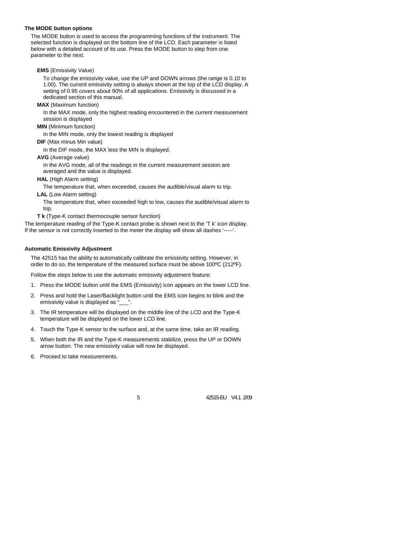#### **The MODE button options**

The MODE button is used to access the programming functions of the instrument. The selected function is displayed on the bottom line of the LCD. Each parameter is listed below with a detailed account of its use. Press the MODE button to step from one parameter to the next.

**EMS** (Emissivity Value)

To change the emissivity value, use the UP and DOWN arrows (the range is 0.10 to 1.00). The current emissivity setting is always shown at the top of the LCD display. A setting of 0.95 covers about 90% of all applications. Emissivity is discussed in a dedicated section of this manual.

**MAX** (Maximum function)

In the MAX mode, only the highest reading encountered in the current measurement session is displayed

**MIN** (Minimum function)

In the MIN mode, only the lowest reading is displayed

**DIF** (Max minus Min value)

In the DIF mode, the MAX less the MIN is displayed.

**AVG** (Average value)

In the AVG mode, all of the readings in the current measurement session are averaged and the value is displayed.

**HAL** (High Alarm setting)

The temperature that, when exceeded, causes the audible/visual alarm to trip.

**LAL** (Low Alarm setting)

The temperature that, when exceeded high to low, causes the audible/visual alarm to trip.

**T k** (Type-K contact thermocouple sensor function)

The temperature reading of the Type-K contact probe is shown next to the 'T k' icon display. If the sensor is not correctly inserted to the meter the display will show all dashes '-----'.

#### **Automatic Emissivity Adjustment**

The 42515 has the ability to automatically calibrate the emissivity setting. However, in order to do so, the temperature of the measured surface must be above 100ºC (212ºF).

Follow the steps below to use the automatic emissivity adjustment feature:

- 1. Press the MODE button until the EMS (Emissivity) icon appears on the lower LCD line.
- 2. Press and hold the Laser/Backlight button until the EMS icon begins to blink and the emissivity value is displayed as "\_
- 3. The IR temperature will be displayed on the middle line of the LCD and the Type-K temperature will be displayed on the lower LCD line.
- 4. Touch the Type-K sensor to the surface and, at the same time, take an IR reading.
- 5. When both the IR and the Type-K measurements stabilize, press the UP or DOWN arrow button. The new emissivity value will now be displayed.
- 6. Proceed to take measurements.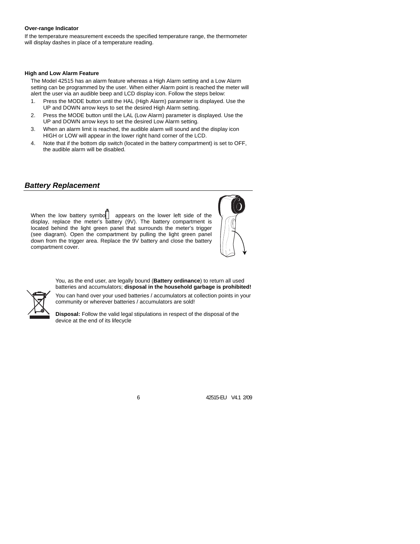#### **Over-range Indicator**

If the temperature measurement exceeds the specified temperature range, the thermometer will display dashes in place of a temperature reading.

#### **High and Low Alarm Feature**

The Model 42515 has an alarm feature whereas a High Alarm setting and a Low Alarm setting can be programmed by the user. When either Alarm point is reached the meter will alert the user via an audible beep and LCD display icon. Follow the steps below:

- 1. Press the MODE button until the HAL (High Alarm) parameter is displayed. Use the UP and DOWN arrow keys to set the desired High Alarm setting.
- 2. Press the MODE button until the LAL (Low Alarm) parameter is displayed. Use the UP and DOWN arrow keys to set the desired Low Alarm setting.
- 3. When an alarm limit is reached, the audible alarm will sound and the display icon HIGH or LOW will appear in the lower right hand corner of the LCD.
- 4. Note that if the bottom dip switch (located in the battery compartment) is set to OFF, the audible alarm will be disabled.

#### *Battery Replacement*

When the low battery symbo $\Box$  appears on the lower left side of the display, replace the meter's battery (9V). The battery compartment is located behind the light green panel that surrounds the meter's trigger (see diagram). Open the compartment by pulling the light green panel down from the trigger area. Replace the 9V battery and close the battery compartment cover.



You, as the end user, are legally bound (**Battery ordinance**) to return all used batteries and accumulators; **disposal in the household garbage is prohibited!**



You can hand over your used batteries / accumulators at collection points in your community or wherever batteries / accumulators are sold!

**Disposal:** Follow the valid legal stipulations in respect of the disposal of the device at the end of its lifecycle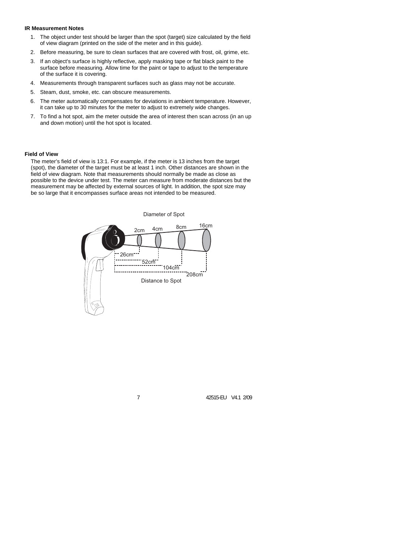#### **IR Measurement Notes**

- 1. The object under test should be larger than the spot (target) size calculated by the field of view diagram (printed on the side of the meter and in this guide).
- 2. Before measuring, be sure to clean surfaces that are covered with frost, oil, grime, etc.
- 3. If an object's surface is highly reflective, apply masking tape or flat black paint to the surface before measuring. Allow time for the paint or tape to adjust to the temperature of the surface it is covering.
- 4. Measurements through transparent surfaces such as glass may not be accurate.
- 5. Steam, dust, smoke, etc. can obscure measurements.
- 6. The meter automatically compensates for deviations in ambient temperature. However, it can take up to 30 minutes for the meter to adjust to extremely wide changes.
- 7. To find a hot spot, aim the meter outside the area of interest then scan across (in an up and down motion) until the hot spot is located.

#### **Field of View**

The meter's field of view is 13:1. For example, if the meter is 13 inches from the target (spot), the diameter of the target must be at least 1 inch. Other distances are shown in the field of view diagram. Note that measurements should normally be made as close as possible to the device under test. The meter can measure from moderate distances but the measurement may be affected by external sources of light. In addition, the spot size may be so large that it encompasses surface areas not intended to be measured.

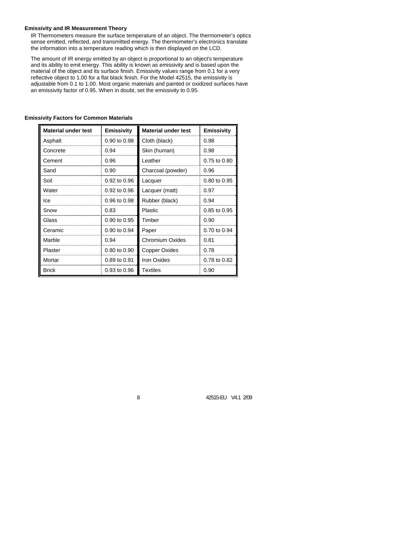#### **Emissivity and IR Measurement Theory**

IR Thermometers measure the surface temperature of an object. The thermometer's optics sense emitted, reflected, and transmitted energy. The thermometer's electronics translate the information into a temperature reading which is then displayed on the LCD.

The amount of IR energy emitted by an object is proportional to an object's temperature and its ability to emit energy. This ability is known as emissivity and is based upon the material of the object and its surface finish. Emissivity values range from 0.1 for a very reflective object to 1.00 for a flat black finish. For the Model 42515, the emissivity is adjustable from 0.1 to 1.00. Most organic materials and painted or oxidized surfaces have an emissivity factor of 0.95. When in doubt, set the emissivity to 0.95.

| <b>Material under test</b> | <b>Emissivity</b>       | <b>Material under test</b> | <b>Emissivity</b> |
|----------------------------|-------------------------|----------------------------|-------------------|
| Asphalt                    | 0.90 to 0.98            | Cloth (black)              | 0.98              |
| Concrete                   | 0.94                    | Skin (human)               | 0.98              |
| Cement                     | 0.96                    | Leather                    | 0.75 to 0.80      |
| Sand                       | 0.90                    | Charcoal (powder)          | 0.96              |
| Soil                       | 0.92 to 0.96            | Lacquer                    | 0.80 to 0.95      |
| Water                      | $0.92$ to $0.96$        | Lacquer (matt)             | 0.97              |
| lce                        | 0.96 to 0.98            | Rubber (black)             | 0.94              |
| Snow                       | 0.83                    | <b>Plastic</b>             | 0.85 to 0.95      |
| Glass                      | $0.90 \text{ to } 0.95$ | Timber                     | 0.90              |
| Ceramic                    | $0.90$ to $0.94$        | Paper                      | 0.70 to 0.94      |
| Marble                     | 0.94                    | Chromium Oxides            | 0.81              |
| Plaster                    | 0.80 to 0.90            | <b>Copper Oxides</b>       | 0.78              |
| Mortar                     | $0.89$ to $0.91$        | Iron Oxides                | 0.78 to 0.82      |
| Brick                      | 0.93 to 0.96            | <b>Textiles</b>            | 0.90              |

#### **Emissivity Factors for Common Materials**